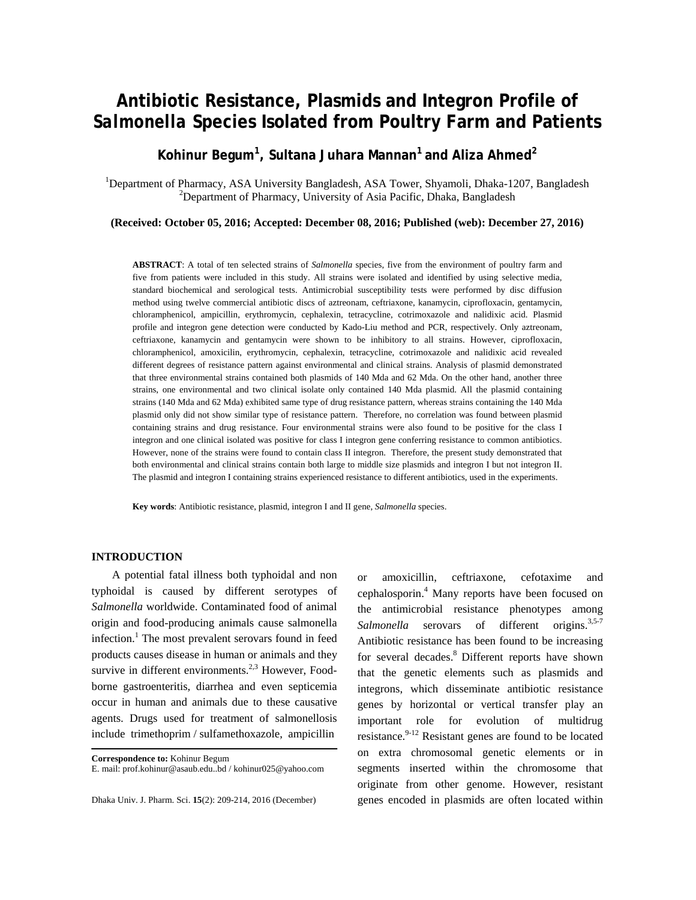# **Antibiotic Resistance, Plasmids and Integron Profile of**  *Salmonella* **Species Isolated from Poultry Farm and Patients**

**Kohinur Begum<sup>1</sup> , Sultana Juhara Mannan1 and Aliza Ahmed2**

<sup>1</sup>Department of Pharmacy, ASA University Bangladesh, ASA Tower, Shyamoli, Dhaka-1207, Bangladesh <sup>2</sup>Department of Pharmacy, University of Asia Pearing Delse Bangladesh <sup>2</sup>Department of Pharmacy, University of Asia Pacific, Dhaka, Bangladesh

**(Received: October 05, 2016; Accepted: December 08, 2016; Published (web): December 27, 2016)** 

**ABSTRACT**: A total of ten selected strains of *Salmonella* species, five from the environment of poultry farm and five from patients were included in this study. All strains were isolated and identified by using selective media, standard biochemical and serological tests. Antimicrobial susceptibility tests were performed by disc diffusion method using twelve commercial antibiotic discs of aztreonam, ceftriaxone, kanamycin, ciprofloxacin, gentamycin, chloramphenicol, ampicillin, erythromycin, cephalexin, tetracycline, cotrimoxazole and nalidixic acid. Plasmid profile and integron gene detection were conducted by Kado-Liu method and PCR, respectively. Only aztreonam, ceftriaxone, kanamycin and gentamycin were shown to be inhibitory to all strains. However, ciprofloxacin, chloramphenicol, amoxicilin, erythromycin, cephalexin, tetracycline, cotrimoxazole and nalidixic acid revealed different degrees of resistance pattern against environmental and clinical strains. Analysis of plasmid demonstrated that three environmental strains contained both plasmids of 140 Mda and 62 Mda. On the other hand, another three strains, one environmental and two clinical isolate only contained 140 Mda plasmid. All the plasmid containing strains (140 Mda and 62 Mda) exhibited same type of drug resistance pattern, whereas strains containing the 140 Mda plasmid only did not show similar type of resistance pattern. Therefore, no correlation was found between plasmid containing strains and drug resistance. Four environmental strains were also found to be positive for the class I integron and one clinical isolated was positive for class I integron gene conferring resistance to common antibiotics. However, none of the strains were found to contain class II integron. Therefore, the present study demonstrated that both environmental and clinical strains contain both large to middle size plasmids and integron I but not integron II. The plasmid and integron I containing strains experienced resistance to different antibiotics, used in the experiments.

**Key words**: Antibiotic resistance, plasmid, integron I and II gene, *Salmonella* species.

## **INTRODUCTION**

 A potential fatal illness both typhoidal and non typhoidal is caused by different serotypes of *Salmonella* worldwide. Contaminated food of animal origin and food-producing animals cause salmonella infection.<sup>1</sup> The most prevalent serovars found in feed products causes disease in human or animals and they survive in different environments. $2,3$  However, Foodborne gastroenteritis, diarrhea and even septicemia occur in human and animals due to these causative agents. Drugs used for treatment of salmonellosis include trimethoprim / sulfamethoxazole, ampicillin

or amoxicillin, ceftriaxone, cefotaxime and cephalosporin.4 Many reports have been focused on the antimicrobial resistance phenotypes among Salmonella serovars of different origins.<sup>3,5-7</sup> Antibiotic resistance has been found to be increasing for several decades.<sup>8</sup> Different reports have shown that the genetic elements such as plasmids and integrons, which disseminate antibiotic resistance genes by horizontal or vertical transfer play an important role for evolution of multidrug resistance. $9-12$  Resistant genes are found to be located on extra chromosomal genetic elements or in segments inserted within the chromosome that originate from other genome. However, resistant genes encoded in plasmids are often located within

**Correspondence to:** Kohinur Begum

E. mail: prof.kohinur@asaub.edu..bd / kohinur025@yahoo.com

Dhaka Univ. J. Pharm. Sci. **15**(2): 209-214, 2016 (December)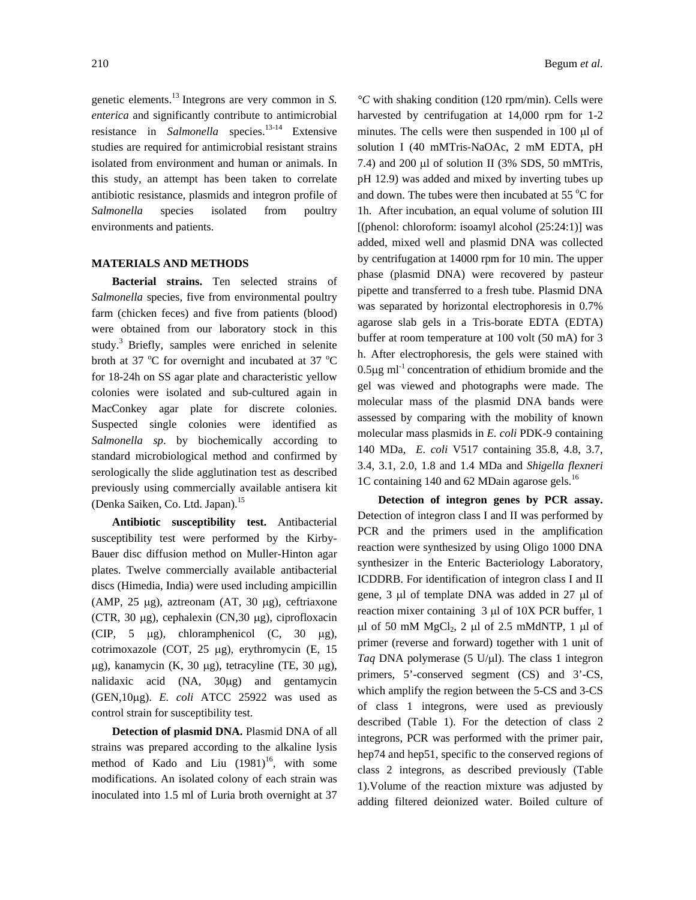genetic elements.13 Integrons are very common in *S. enterica* and significantly contribute to antimicrobial resistance in *Salmonella* species.<sup>13-14</sup> Extensive studies are required for antimicrobial resistant strains isolated from environment and human or animals. In this study, an attempt has been taken to correlate antibiotic resistance, plasmids and integron profile of *Salmonella* species isolated from poultry environments and patients.

#### **MATERIALS AND METHODS**

 **Bacterial strains.** Ten selected strains of *Salmonella* species, five from environmental poultry farm (chicken feces) and five from patients (blood) were obtained from our laboratory stock in this study.3 Briefly, samples were enriched in selenite broth at 37  $\mathrm{^{\circ}C}$  for overnight and incubated at 37  $\mathrm{^{\circ}C}$ for 18-24h on SS agar plate and characteristic yellow colonies were isolated and sub-cultured again in MacConkey agar plate for discrete colonies. Suspected single colonies were identified as *Salmonella sp*. by biochemically according to standard microbiological method and confirmed by serologically the slide agglutination test as described previously using commercially available antisera kit (Denka Saiken, Co. Ltd. Japan).15

 **Antibiotic susceptibility test.** Antibacterial susceptibility test were performed by the Kirby-Bauer disc diffusion method on Muller-Hinton agar plates. Twelve commercially available antibacterial discs (Himedia, India) were used including ampicillin (AMP, 25 µg), aztreonam (AT, 30 µg), ceftriaxone (CTR, 30 µg), cephalexin (CN,30 µg), ciprofloxacin (CIP, 5 µg), chloramphenicol (C, 30 µg), cotrimoxazole (COT, 25 µg), erythromycin (E, 15 µg), kanamycin (K, 30 µg), tetracyline (TE, 30 µg), nalidaxic acid (NA, 30µg) and gentamycin (GEN,10µg). *E. coli* ATCC 25922 was used as control strain for susceptibility test.

**Detection of plasmid DNA.** Plasmid DNA of all strains was prepared according to the alkaline lysis method of Kado and Liu  $(1981)^{16}$ , with some modifications. An isolated colony of each strain was inoculated into 1.5 ml of Luria broth overnight at 37 *°C* with shaking condition (120 rpm/min). Cells were harvested by centrifugation at 14,000 rpm for 1-2 minutes. The cells were then suspended in 100 µl of solution I (40 mMTris-NaOAc, 2 mM EDTA, pH 7.4) and 200 µl of solution II (3% SDS, 50 mMTris, pH 12.9) was added and mixed by inverting tubes up and down. The tubes were then incubated at 55  $\mathrm{^{\circ}C}$  for 1h. After incubation, an equal volume of solution III [(phenol: chloroform: isoamyl alcohol  $(25:24:1)$ ] was added, mixed well and plasmid DNA was collected by centrifugation at 14000 rpm for 10 min. The upper phase (plasmid DNA) were recovered by pasteur pipette and transferred to a fresh tube. Plasmid DNA was separated by horizontal electrophoresis in 0.7% agarose slab gels in a Tris-borate EDTA (EDTA) buffer at room temperature at 100 volt (50 mA) for 3 h. After electrophoresis, the gels were stained with  $0.5\mu$ g ml<sup>-1</sup> concentration of ethidium bromide and the gel was viewed and photographs were made. The molecular mass of the plasmid DNA bands were assessed by comparing with the mobility of known molecular mass plasmids in *E. coli* PDK-9 containing 140 MDa*, E. coli* V517 containing 35.8, 4.8, 3.7, 3.4, 3.1, 2.0, 1.8 and 1.4 MDa and *Shigella flexneri* 1C containing 140 and 62 MDain agarose gels.<sup>16</sup>

 **Detection of integron genes by PCR assay.**  Detection of integron class I and II was performed by PCR and the primers used in the amplification reaction were synthesized by using Oligo 1000 DNA synthesizer in the Enteric Bacteriology Laboratory, ICDDRB. For identification of integron class I and II gene, 3 µl of template DNA was added in 27 µl of reaction mixer containing 3 µl of 10X PCR buffer, 1  $\mu$ l of 50 mM MgCl<sub>2</sub>, 2  $\mu$ l of 2.5 mMdNTP, 1  $\mu$ l of primer (reverse and forward) together with 1 unit of *Taq* DNA polymerase (5 U/µl). The class 1 integron primers, 5'-conserved segment (CS) and 3'-CS, which amplify the region between the 5-CS and 3-CS of class 1 integrons, were used as previously described (Table 1). For the detection of class 2 integrons, PCR was performed with the primer pair, hep74 and hep51, specific to the conserved regions of class 2 integrons, as described previously (Table 1).Volume of the reaction mixture was adjusted by adding filtered deionized water. Boiled culture of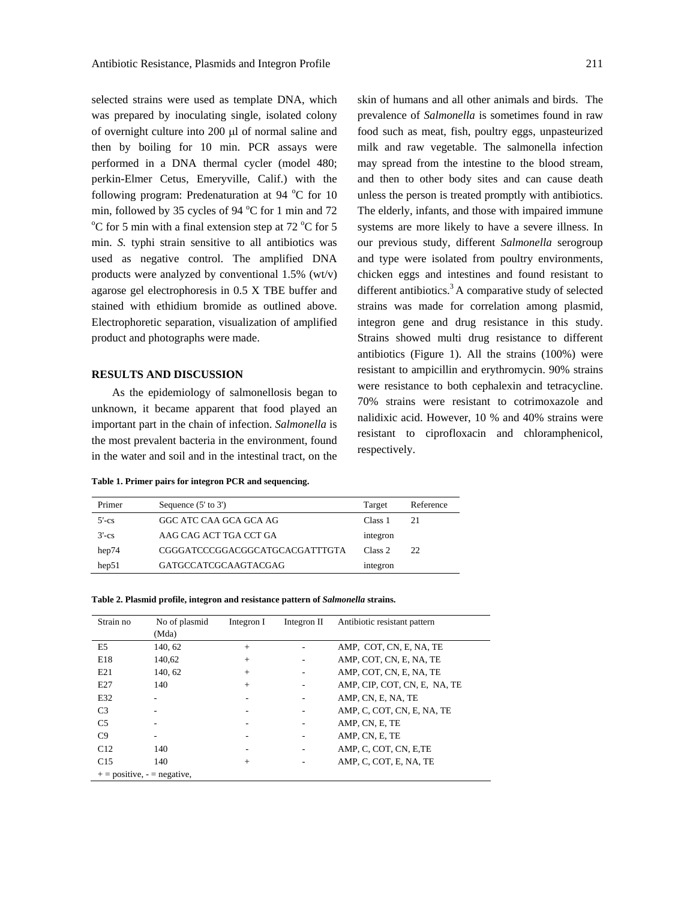selected strains were used as template DNA, which was prepared by inoculating single, isolated colony of overnight culture into 200 µl of normal saline and then by boiling for 10 min. PCR assays were performed in a DNA thermal cycler (model 480; perkin-Elmer Cetus, Emeryville, Calif.) with the following program: Predenaturation at 94 °C for 10 min, followed by 35 cycles of 94  $^{\circ}$ C for 1 min and 72<br> $^{\circ}$ C for 5 min with a final autonoisp at n at 72  $^{\circ}$ C for 5 C for 5 min with a final extension step at 72  $^{\circ}$ C for 5 min. *S.* typhi strain sensitive to all antibiotics was used as negative control. The amplified DNA products were analyzed by conventional 1.5% (wt/v) agarose gel electrophoresis in 0.5 X TBE buffer and stained with ethidium bromide as outlined above. Electrophoretic separation, visualization of amplified product and photographs were made.

### **RESULTS AND DISCUSSION**

 As the epidemiology of salmonellosis began to unknown, it became apparent that food played an important part in the chain of infection. *Salmonella* is the most prevalent bacteria in the environment, found in the water and soil and in the intestinal tract, on the

**Table 1. Primer pairs for integron PCR and sequencing.** 

skin of humans and all other animals and birds. The prevalence of *Salmonella* is sometimes found in raw food such as meat, fish, poultry eggs, unpasteurized milk and raw vegetable. The salmonella infection may spread from the intestine to the blood stream, and then to other body sites and can cause death unless the person is treated promptly with antibiotics. The elderly, infants, and those with impaired immune systems are more likely to have a severe illness. In our previous study, different *Salmonella* serogroup and type were isolated from poultry environments, chicken eggs and intestines and found resistant to different antibiotics.<sup>3</sup> A comparative study of selected strains was made for correlation among plasmid, integron gene and drug resistance in this study. Strains showed multi drug resistance to different antibiotics (Figure 1). All the strains (100%) were resistant to ampicillin and erythromycin. 90% strains were resistance to both cephalexin and tetracycline. 70% strains were resistant to cotrimoxazole and nalidixic acid. However, 10 % and 40% strains were resistant to ciprofloxacin and chloramphenicol, respectively.

| Primer  | Sequence $(5'$ to $3')$        | Target   | Reference |
|---------|--------------------------------|----------|-----------|
| $5'-cs$ | GGC ATC CAA GCA GCA AG         | Class 1  | 21        |
| $3'-cs$ | AAG CAG ACT TGA CCT GA         | integron |           |
| hep74   | CGGGATCCCGGACGGCATGCACGATTTGTA | Class 2  | 22        |
| hep51   | <b>GATGCCATCGCAAGTACGAG</b>    | integron |           |

|  |  |  | Table 2. Plasmid profile, integron and resistance pattern of Salmonella strains. |  |
|--|--|--|----------------------------------------------------------------------------------|--|
|  |  |  |                                                                                  |  |

| Strain no                     | No of plasmid<br>(Mda) | Integron I | Integron II | Antibiotic resistant pattern |  |
|-------------------------------|------------------------|------------|-------------|------------------------------|--|
| E5                            | 140, 62                | $+$        |             | AMP, COT, CN, E, NA, TE      |  |
| E18                           | 140,62                 | $^{+}$     |             | AMP, COT, CN, E, NA, TE      |  |
| E21                           | 140, 62                | $^{+}$     |             | AMP, COT, CN, E, NA, TE      |  |
| E27                           | 140                    | $^{+}$     |             | AMP, CIP, COT, CN, E, NA, TE |  |
| E32                           |                        |            |             | AMP, CN, E, NA, TE           |  |
| C <sub>3</sub>                |                        |            |             | AMP, C, COT, CN, E, NA, TE   |  |
| C <sub>5</sub>                |                        |            |             | AMP, CN, E, TE               |  |
| C9                            |                        |            |             | AMP, CN, E, TE               |  |
| C12                           | 140                    |            | ۰           | AMP, C, COT, CN, E, TE       |  |
| C15                           | 140                    | $^{+}$     |             | AMP, C, COT, E, NA, TE       |  |
| $+$ = positive, - = negative, |                        |            |             |                              |  |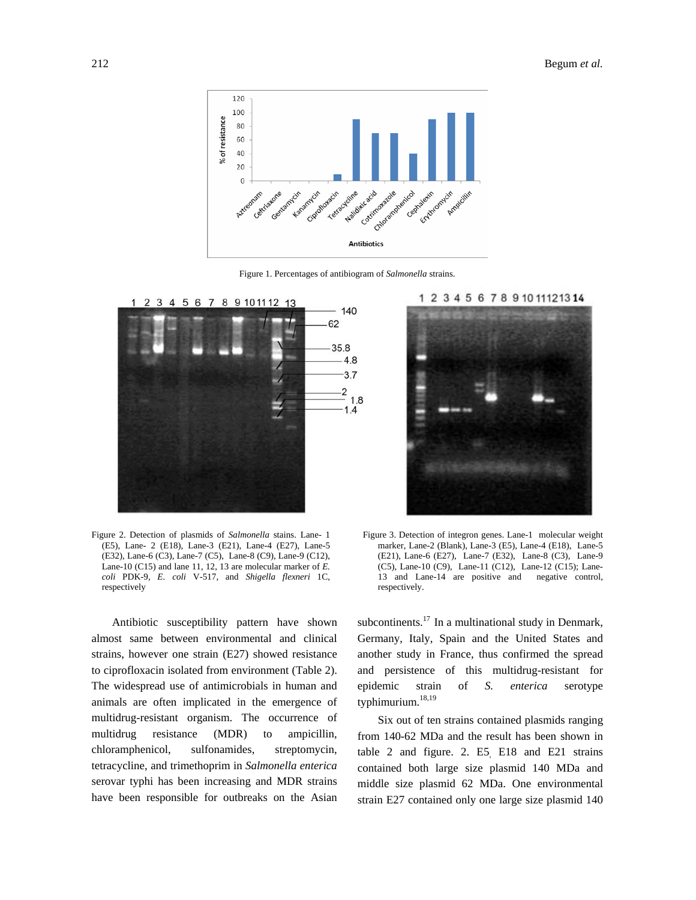

Figure 1. Percentages of antibiogram of *Salmonella* strains.



Figure 2. Detection of plasmids of *Salmonella* stains. Lane- 1 (E5), Lane- 2 (E18), Lane-3 (E21), Lane-4 (E27), Lane-5 (E32), Lane-6 (C3), Lane-7 (C5), Lane-8 (C9), Lane-9 (C12), Lane-10 (C15) and lane 11, 12, 13 are molecular marker of *E. coli* PDK-9, *E. coli* V-517, and *Shigella flexneri* 1C, respectively

 Antibiotic susceptibility pattern have shown almost same between environmental and clinical strains, however one strain (E27) showed resistance to ciprofloxacin isolated from environment (Table 2). The widespread use of antimicrobials in human and animals are often implicated in the emergence of multidrug-resistant organism. The occurrence of multidrug resistance (MDR) to ampicillin, chloramphenicol, sulfonamides, streptomycin, tetracycline, and trimethoprim in *Salmonella enterica*  serovar typhi has been increasing and MDR strains have been responsible for outbreaks on the Asian





Figure 3. Detection of integron genes. Lane-1 molecular weight marker, Lane-2 (Blank), Lane-3 (E5), Lane-4 (E18), Lane-5 (E21), Lane-6 (E27), Lane-7 (E32), Lane-8 (C3), Lane-9 (C5), Lane-10 (C9), Lane-11 (C12), Lane-12 (C15); Lane-13 and Lane-14 are positive and negative control, respectively.

subcontinents. $^{17}$  In a multinational study in Denmark, Germany, Italy, Spain and the United States and another study in France, thus confirmed the spread and persistence of this multidrug-resistant for epidemic strain of *S. enterica* serotype typhimurium.<sup>18,19</sup>

 Six out of ten strains contained plasmids ranging from 140-62 MDa and the result has been shown in table 2 and figure. 2.  $E5$   $E18$  and  $E21$  strains contained both large size plasmid 140 MDa and middle size plasmid 62 MDa. One environmental strain E27 contained only one large size plasmid 140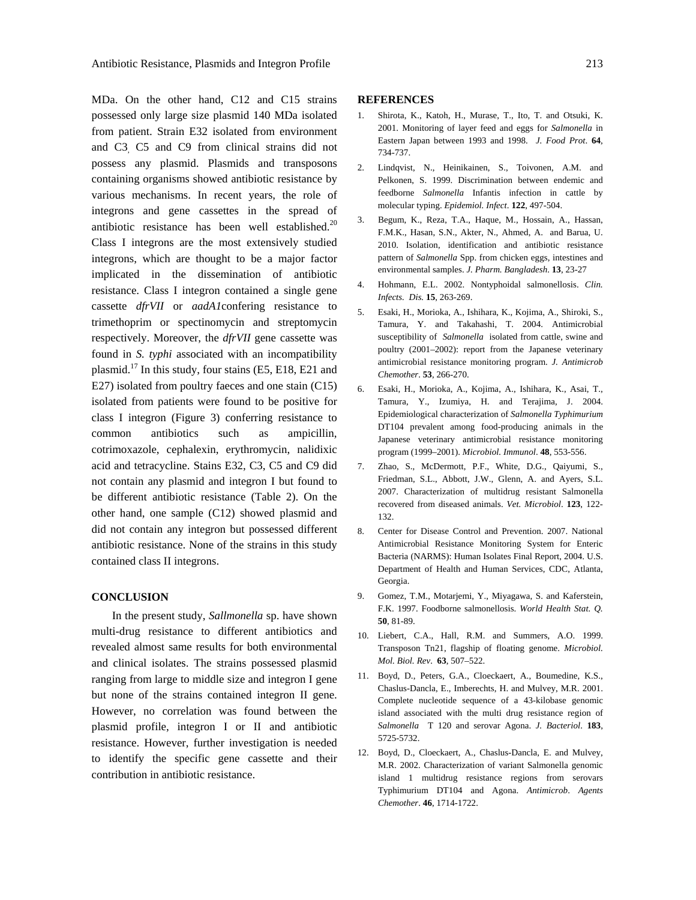MDa. On the other hand, C12 and C15 strains possessed only large size plasmid 140 MDa isolated from patient. Strain E32 isolated from environment and C3, C5 and C9 from clinical strains did not possess any plasmid. Plasmids and transposons containing organisms showed antibiotic resistance by various mechanisms. In recent years, the role of integrons and gene cassettes in the spread of antibiotic resistance has been well established.<sup>20</sup> Class I integrons are the most extensively studied integrons, which are thought to be a major factor implicated in the dissemination of antibiotic resistance. Class I integron contained a single gene cassette *dfrVII* or *aadA1*confering resistance to trimethoprim or spectinomycin and streptomycin respectively. Moreover, the *dfrVII* gene cassette was found in *S. typhi* associated with an incompatibility plasmid.17 In this study, four stains (E5, E18, E21 and E27) isolated from poultry faeces and one stain (C15) isolated from patients were found to be positive for class I integron (Figure 3) conferring resistance to common antibiotics such as ampicillin, cotrimoxazole, cephalexin, erythromycin, nalidixic acid and tetracycline. Stains E32, C3, C5 and C9 did not contain any plasmid and integron I but found to be different antibiotic resistance (Table 2). On the other hand, one sample (C12) showed plasmid and did not contain any integron but possessed different antibiotic resistance. None of the strains in this study contained class II integrons.

## **CONCLUSION**

 In the present study, *Sallmonella* sp. have shown multi-drug resistance to different antibiotics and revealed almost same results for both environmental and clinical isolates. The strains possessed plasmid ranging from large to middle size and integron I gene but none of the strains contained integron II gene. However, no correlation was found between the plasmid profile, integron I or II and antibiotic resistance. However, further investigation is needed to identify the specific gene cassette and their contribution in antibiotic resistance.

#### **REFERENCES**

- 1. Shirota, K., Katoh, H., Murase, T., Ito, T. and Otsuki, K. 2001. Monitoring of layer feed and eggs for *Salmonella* in Eastern Japan between 1993 and 1998. *J. Food Prot*. **64**, 734-737.
- 2. Lindqvist, N., Heinikainen, S., Toivonen, A.M. and Pelkonen, S. 1999. Discrimination between endemic and feedborne *Salmonella* Infantis infection in cattle by molecular typing. *Epidemiol. Infect*. **122**, 497-504.
- 3. Begum, K., Reza, T.A., Haque, M., Hossain, A., Hassan, F.M.K., Hasan, S.N., Akter, N., Ahmed, A. and Barua, U. 2010. Isolation, identification and antibiotic resistance pattern of *Salmonella* Spp. from chicken eggs, intestines and environmental samples. *J. Pharm. Bangladesh*. **13**, 23-27
- 4. Hohmann, E.L. 2002. Nontyphoidal salmonellosis. *Clin. Infects. Dis.* **15**, 263-269.
- 5. Esaki, H., Morioka, A., Ishihara, K., Kojima, A., Shiroki, S., Tamura, Y. and Takahashi, T. 2004. Antimicrobial susceptibility of *Salmonella* isolated from cattle, swine and poultry (2001–2002): report from the Japanese veterinary antimicrobial resistance monitoring program. *J. Antimicrob Chemother*. **53**, 266-270.
- 6. Esaki, H., Morioka, A., Kojima, A., Ishihara, K., Asai, T., Tamura, Y., Izumiya, H. and Terajima, J. 2004. Epidemiological characterization of *Salmonella Typhimurium* DT104 prevalent among food-producing animals in the Japanese veterinary antimicrobial resistance monitoring program (1999–2001). *Microbiol. Immunol*. **48**, 553-556.
- 7. Zhao, S., McDermott, P.F., White, D.G., Qaiyumi, S., Friedman, S.L., Abbott, J.W., Glenn, A. and Ayers, S.L. 2007. Characterization of multidrug resistant Salmonella recovered from diseased animals. *Vet. Microbiol*. **123**, 122- 132.
- 8. Center for Disease Control and Prevention. 2007. National Antimicrobial Resistance Monitoring System for Enteric Bacteria (NARMS): Human Isolates Final Report, 2004. U.S. Department of Health and Human Services, CDC, Atlanta, Georgia.
- 9. Gomez, T.M., Motarjemi, Y., Miyagawa, S. and Kaferstein, F.K. 1997. Foodborne salmonellosis. *World Health Stat. Q.*  **50**, 81-89.
- 10. Liebert, C.A., Hall, R.M. and Summers, A.O. 1999. Transposon Tn21, flagship of floating genome. *Microbiol. Mol. Biol. Rev*. **63**, 507–522.
- 11. Boyd, D., Peters, G.A., Cloeckaert, A., Boumedine, K.S., Chaslus-Dancla, E., Imberechts, H. and Mulvey, M.R. 2001. Complete nucleotide sequence of a 43-kilobase genomic island associated with the multi drug resistance region of *Salmonella* T 120 and serovar Agona. *J. Bacteriol*. **183**, 5725-5732.
- 12. Boyd, D., Cloeckaert, A., Chaslus-Dancla, E. and Mulvey, M.R. 2002. Characterization of variant Salmonella genomic island 1 multidrug resistance regions from serovars Typhimurium DT104 and Agona. *Antimicrob*. *Agents Chemother*. **46**, 1714-1722.